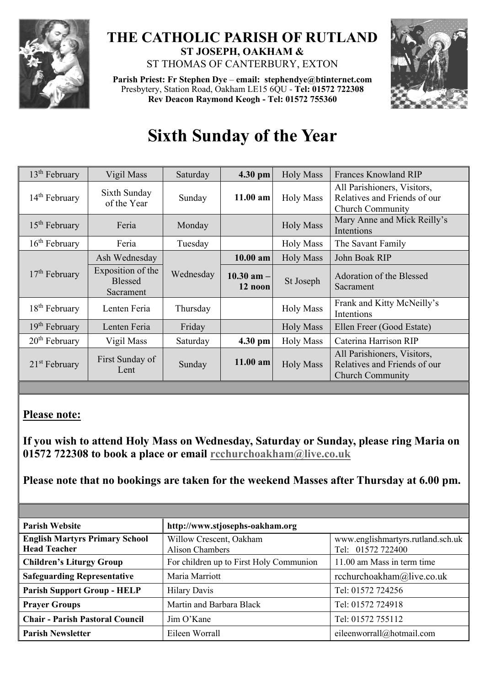

## **THE CATHOLIC PARISH OF RUTLAND ST JOSEPH, OAKHAM &**  ST THOMAS OF CANTERBURY, EXTON

**Parish Priest: Fr Stephen Dye** – **[email: stephendye@btinternet.com](mailto:email:%20%20stephendye@btinternet.com)** Presbytery, Station Road, Oakham LE15 6QU - **Tel: 01572 722308 Rev Deacon Raymond Keogh - Tel: 01572 755360**



# **Sixth Sunday of the Year**

| 13 <sup>th</sup> February | Vigil Mass                                       | Saturday  | 4.30 pm                   | <b>Holy Mass</b> | <b>Frances Knowland RIP</b>                                                            |
|---------------------------|--------------------------------------------------|-----------|---------------------------|------------------|----------------------------------------------------------------------------------------|
| $14th$ February           | Sixth Sunday<br>of the Year                      | Sunday    | $11.00$ am                | <b>Holy Mass</b> | All Parishioners, Visitors,<br>Relatives and Friends of our<br><b>Church Community</b> |
| $15th$ February           | Feria                                            | Monday    |                           | <b>Holy Mass</b> | Mary Anne and Mick Reilly's<br>Intentions                                              |
| $16th$ February           | Feria                                            | Tuesday   |                           | <b>Holy Mass</b> | The Savant Family                                                                      |
| $17th$ February           | Ash Wednesday                                    |           | $10.00$ am                | <b>Holy Mass</b> | John Boak RIP                                                                          |
|                           | Exposition of the<br><b>Blessed</b><br>Sacrament | Wednesday | $10.30$ am $-$<br>12 noon | St Joseph        | Adoration of the Blessed<br>Sacrament                                                  |
| $18th$ February           | Lenten Feria                                     | Thursday  |                           | <b>Holy Mass</b> | Frank and Kitty McNeilly's<br>Intentions                                               |
| $19th$ February           | Lenten Feria                                     | Friday    |                           | <b>Holy Mass</b> | Ellen Freer (Good Estate)                                                              |
| $20th$ February           | Vigil Mass                                       | Saturday  | 4.30 pm                   | <b>Holy Mass</b> | Caterina Harrison RIP                                                                  |
| $21st$ February           | First Sunday of<br>Lent                          | Sunday    | 11.00 am                  | <b>Holy Mass</b> | All Parishioners, Visitors,<br>Relatives and Friends of our<br><b>Church Community</b> |

## **Please note:**

**If you wish to attend Holy Mass on Wednesday, Saturday or Sunday, please ring Maria on 01572 722308 to book a place or email [rcchurchoakham@live.co.uk](mailto:rcchurchoakham@live.co.uk)**

**Please note that no bookings are taken for the weekend Masses after Thursday at 6.00 pm.**

| <b>Parish Website</b>                                        | http://www.stjosephs-oakham.org            |                                                        |  |
|--------------------------------------------------------------|--------------------------------------------|--------------------------------------------------------|--|
| <b>English Martyrs Primary School</b><br><b>Head Teacher</b> | Willow Crescent, Oakham<br>Alison Chambers | www.englishmartyrs.rutland.sch.uk<br>Tel: 01572 722400 |  |
| <b>Children's Liturgy Group</b>                              | For children up to First Holy Communion    | 11.00 am Mass in term time                             |  |
| <b>Safeguarding Representative</b>                           | Maria Marriott                             | rcchurchoakham@live.co.uk                              |  |
| <b>Parish Support Group - HELP</b>                           | <b>Hilary Davis</b>                        | Tel: 01572 724256                                      |  |
| <b>Prayer Groups</b>                                         | Martin and Barbara Black                   | Tel: 01572 724918                                      |  |
| <b>Chair - Parish Pastoral Council</b>                       | Jim O'Kane                                 | Tel: 01572 755112                                      |  |
| <b>Parish Newsletter</b>                                     | Eileen Worrall                             | eileenworrall@hotmail.com                              |  |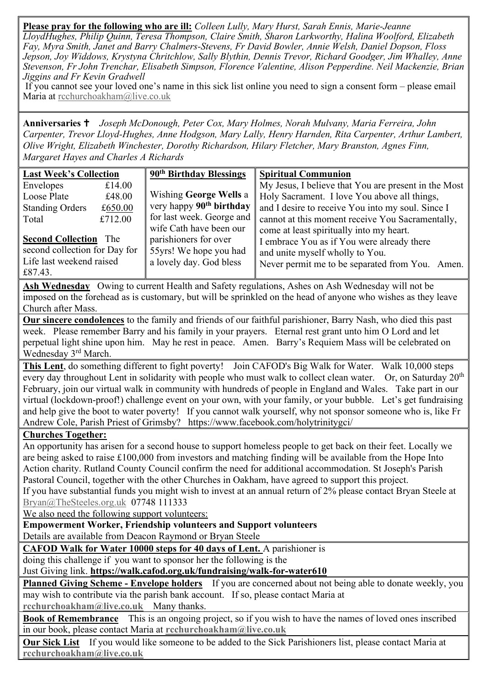**Please pray for the following who are ill:** *Colleen Lully, Mary Hurst, Sarah Ennis, Marie-Jeanne LloydHughes, Philip Quinn, Teresa Thompson, Claire Smith, Sharon Larkworthy, Halina Woolford, Elizabeth Fay, Myra Smith, Janet and Barry Chalmers-Stevens, Fr David Bowler, Annie Welsh, Daniel Dopson, Floss Jepson, Joy Widdows, Krystyna Chritchlow, Sally Blythin, Dennis Trevor, Richard Goodger, Jim Whalley, Anne Stevenson, Fr John Trenchar, Elisabeth Simpson, Florence Valentine, Alison Pepperdine. Neil Mackenzie, Brian Jiggins and Fr Kevin Gradwell*

If you cannot see your loved one's name in this sick list online you need to sign a consent form – please email Maria at [rcchurchoakham@live.co.uk](mailto:rcchurchoakham@live.co.uk)

**Anniversaries**  *Joseph McDonough, Peter Cox, Mary Holmes, Norah Mulvany, Maria Ferreira, John Carpenter, Trevor Lloyd-Hughes, Anne Hodgson, Mary Lally, Henry Harnden, Rita Carpenter, Arthur Lambert, Olive Wright, Elizabeth Winchester, Dorothy Richardson, Hilary Fletcher, Mary Branston, Agnes Finn, Margaret Hayes and Charles A Richards*

| <b>Last Week's Collection</b>   |         | 90 <sup>th</sup> Birthday Blessings  | <b>Spiritual Communion</b>                           |  |
|---------------------------------|---------|--------------------------------------|------------------------------------------------------|--|
| Envelopes                       | £14.00  |                                      | My Jesus, I believe that You are present in the Most |  |
| Loose Plate                     | £48.00  | <b>Wishing George Wells a</b>        | Holy Sacrament. I love You above all things,         |  |
| <b>Standing Orders</b>          | £650.00 | very happy 90 <sup>th</sup> birthday | and I desire to receive You into my soul. Since I    |  |
| Total                           | £712.00 | for last week. George and            | cannot at this moment receive You Sacramentally,     |  |
|                                 |         | wife Cath have been our              | come at least spiritually into my heart.             |  |
| <b>Second Collection</b><br>The |         | parishioners for over                | I embrace You as if You were already there           |  |
| second collection for Day for   |         | 55yrs! We hope you had               | and unite myself wholly to You.                      |  |
| Life last weekend raised        |         | a lovely day. God bless              | Never permit me to be separated from You. Amen.      |  |
| £87.43.                         |         |                                      |                                                      |  |

**Ash Wednesday** Owing to current Health and Safety regulations, Ashes on Ash Wednesday will not be imposed on the forehead as is customary, but will be sprinkled on the head of anyone who wishes as they leave Church after Mass.

**Our sincere condolences** to the family and friends of our faithful parishioner, Barry Nash, who died this past week. Please remember Barry and his family in your prayers. Eternal rest grant unto him O Lord and let perpetual light shine upon him. May he rest in peace. Amen. Barry's Requiem Mass will be celebrated on Wednesday 3rd March.

**This Lent**, do something different to fight poverty! Join CAFOD's Big Walk for Water. Walk 10,000 steps every day throughout Lent in solidarity with people who must walk to collect clean water. Or, on Saturday 20<sup>th</sup> February, join our virtual walk in community with hundreds of people in England and Wales. Take part in our virtual (lockdown-proof!) challenge event on your own, with your family, or your bubble. Let's get fundraising and help give the boot to water poverty! If you cannot walk yourself, why not sponsor someone who is, like Fr Andrew Cole, Parish Priest of Grimsby? https://www.facebook.com/holytrinitygci/

#### **Churches Together:**

An opportunity has arisen for a second house to support homeless people to get back on their feet. Locally we are being asked to raise £100,000 from investors and matching finding will be available from the Hope Into Action charity. Rutland County Council confirm the need for additional accommodation. St Joseph's Parish Pastoral Council, together with the other Churches in Oakham, have agreed to support this project. If you have substantial funds you might wish to invest at an annual return of 2% please contact Bryan Steele at

[Bryan@TheSteeles.org.uk](mailto:Bryan@TheSteeles.org.uk) 07748 111333

We also need the following support volunteers:

#### **Empowerment Worker, Friendship volunteers and Support volunteers**

Details are available from Deacon Raymond or Bryan Steele

**CAFOD Walk for Water 10000 steps for 40 days of Lent.** A parishioner is

doing this challenge if you want to sponsor her the following is the

Just Giving link. **https://walk.cafod.org.uk/fundraising/walk-for-water610**

**Planned Giving Scheme - Envelope holders** If you are concerned about not being able to donate weekly, you may wish to contribute via the parish bank account. If so, please contact Maria at **[rcchurchoakham@live.co.uk](mailto:rcchurchoakham@live.co.uk)** Many thanks.

**Book of Remembrance** This is an ongoing project, so if you wish to have the names of loved ones inscribed in our book, please contact Maria at **[rcchurchoakham@live.co.uk](mailto:rcchurchoakham@live.co.uk)**

**Our Sick List** If you would like someone to be added to the Sick Parishioners list, please contact Maria at **[rcchurchoakham@live.co.uk](mailto:rcchurchoakham@live.co.uk)**